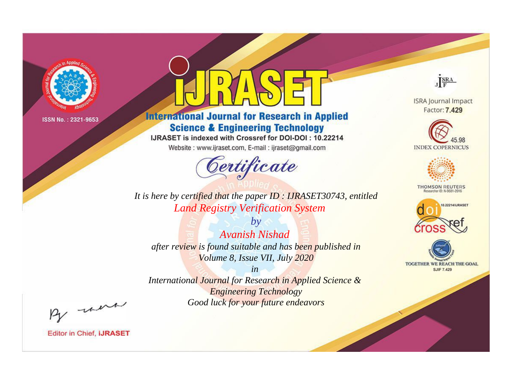

# **International Journal for Research in Applied Science & Engineering Technology**

IJRASET is indexed with Crossref for DOI-DOI: 10.22214

Website: www.ijraset.com, E-mail: ijraset@gmail.com



JERA

**ISRA Journal Impact** Factor: 7.429





**THOMSON REUTERS** 



TOGETHER WE REACH THE GOAL **SJIF 7.429** 

*It is here by certified that the paper ID : IJRASET30743, entitled Land Registry Verification System*

*by Avanish Nishad after review is found suitable and has been published in Volume 8, Issue VII, July 2020*

*in* 

*International Journal for Research in Applied Science & Engineering Technology Good luck for your future endeavors*

By morn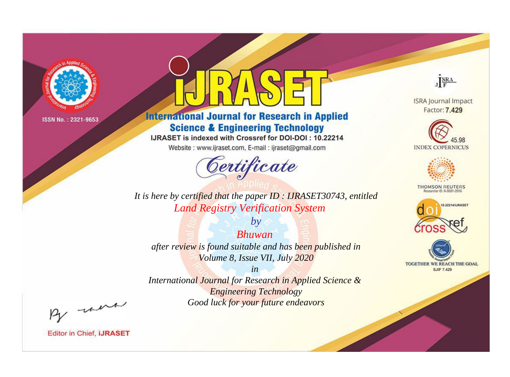

# **International Journal for Research in Applied Science & Engineering Technology**

IJRASET is indexed with Crossref for DOI-DOI: 10.22214

Website: www.ijraset.com, E-mail: ijraset@gmail.com



JERA

**ISRA Journal Impact** Factor: 7.429





**THOMSON REUTERS** 



TOGETHER WE REACH THE GOAL **SJIF 7.429** 

*It is here by certified that the paper ID : IJRASET30743, entitled Land Registry Verification System*

*Bhuwan after review is found suitable and has been published in Volume 8, Issue VII, July 2020*

*by*

*in* 

*International Journal for Research in Applied Science & Engineering Technology Good luck for your future endeavors*

By morn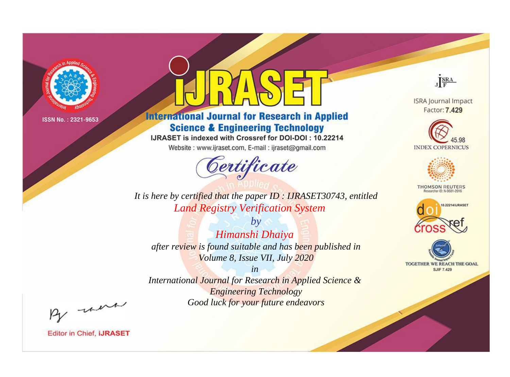

# **International Journal for Research in Applied Science & Engineering Technology**

IJRASET is indexed with Crossref for DOI-DOI: 10.22214

Website: www.ijraset.com, E-mail: ijraset@gmail.com



JERA

**ISRA Journal Impact** Factor: 7.429





**THOMSON REUTERS** 



TOGETHER WE REACH THE GOAL **SJIF 7.429** 

*It is here by certified that the paper ID : IJRASET30743, entitled Land Registry Verification System*

*by Himanshi Dhaiya after review is found suitable and has been published in Volume 8, Issue VII, July 2020*

*in* 

*International Journal for Research in Applied Science & Engineering Technology Good luck for your future endeavors*

By morn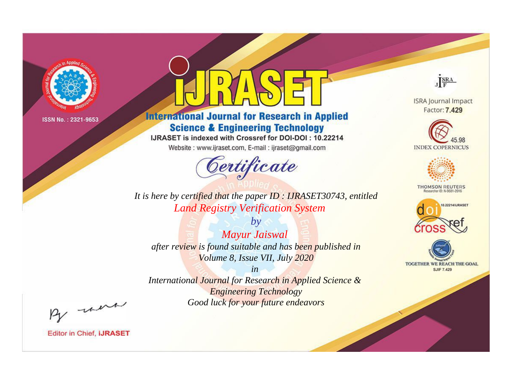

# **International Journal for Research in Applied Science & Engineering Technology**

IJRASET is indexed with Crossref for DOI-DOI: 10.22214

Website: www.ijraset.com, E-mail: ijraset@gmail.com



JERA **ISRA Journal Impact** 

Factor: 7.429





**THOMSON REUTERS** 



TOGETHER WE REACH THE GOAL **SJIF 7.429** 

*It is here by certified that the paper ID : IJRASET30743, entitled Land Registry Verification System*

*by Mayur Jaiswal after review is found suitable and has been published in Volume 8, Issue VII, July 2020*

*in* 

*International Journal for Research in Applied Science & Engineering Technology Good luck for your future endeavors*

By morn